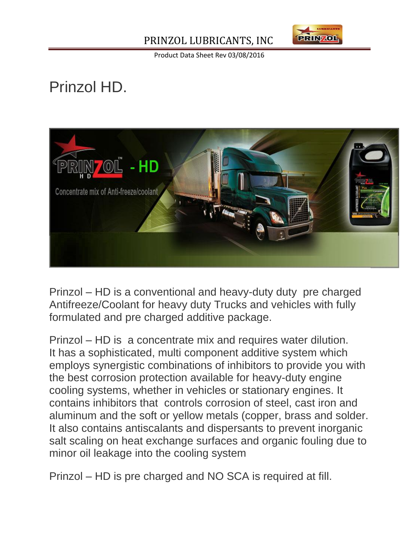## PRINZOL LUBRICANTS, INC



Product Data Sheet Rev 03/08/2016

## Prinzol HD.



Prinzol – HD is a conventional and heavy-duty duty pre charged Antifreeze/Coolant for heavy duty Trucks and vehicles with fully formulated and pre charged additive package.

Prinzol – HD is a concentrate mix and requires water dilution. It has a sophisticated, multi component additive system which employs synergistic combinations of inhibitors to provide you with the best corrosion protection available for heavy-duty engine cooling systems, whether in vehicles or stationary engines. It contains inhibitors that controls corrosion of steel, cast iron and aluminum and the soft or yellow metals (copper, brass and solder. It also contains antiscalants and dispersants to prevent inorganic salt scaling on heat exchange surfaces and organic fouling due to minor oil leakage into the cooling system

Prinzol – HD is pre charged and NO SCA is required at fill.